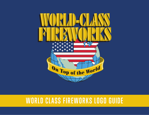

# **WORLD CLASS FIREWORKS LOGO GUIDE**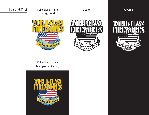Full color on light **LOGO FAMILY** 1-color Reversebackground

On Top of the World





Full color on dark background (same)

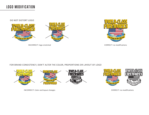## **LOGO MODIFICATION**

DO NOT DISTORT LOGO





INCORRECT: logo stretched



CORRECT: no modifications

FOR BRAND CONSISTENCY, DON'T ALTER THE COLOR, PROPORTIONS OR LAYOUT OF LOGO



CORRECT: no modifications

INCORRECT: Color and layout changes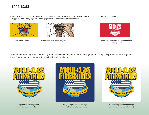### MAINTAIN SUFFICIENT CONTRAST BETWEEN LOGO AND BACKGROUND. LEGIBILITY IS MOST IMPORTANT. This applies when placing logo over photographic and patterned backgrounds as well.





INCORRECT: not enough contrast between logo and background



CORRECT: proper contrast between logo and background

Some applications require a solid background for increased legibility when placing logo on a busy background or for design aesthetic. The following three variations follow brand standards.



Logo without background [insert file name for reference]



Navy background behind logo [insert file name for reference]



White background behind logo [insert file name for reference]